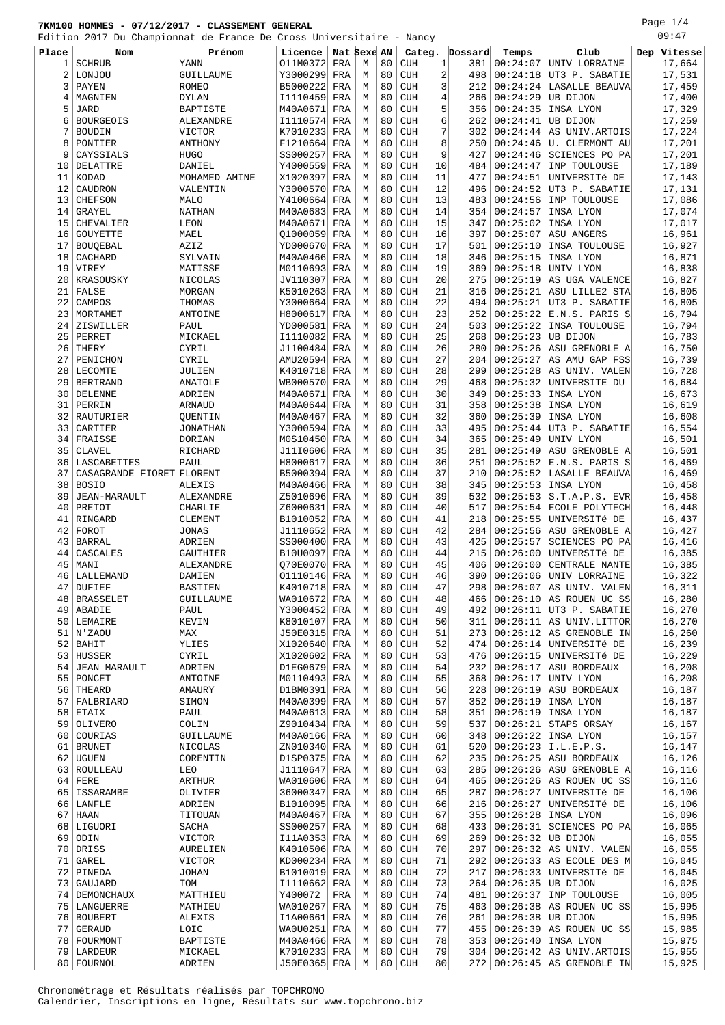Page 1/4

|                | Edition 2017 Du Championnat de France De Cross Universitaire - Nancy |                   |                       |     |   |    |                                   |          |          |                                   | 09:47            |
|----------------|----------------------------------------------------------------------|-------------------|-----------------------|-----|---|----|-----------------------------------|----------|----------|-----------------------------------|------------------|
| Place          | Nom                                                                  | Prénom            | Licence   Nat Sexe AN |     |   |    | Categ.                            | Dossard  | Temps    | Club                              | Dep Vitesse      |
| 1              | <b>SCHRUB</b>                                                        | YANN              | 011M0372  FRA         |     | М | 80 | <b>CUH</b><br>1                   | 381      | 00:24:07 | UNIV LORRAINE                     | 17,664           |
|                |                                                                      |                   | Y3000299 FRA          |     |   | 80 | CUH                               | 2<br>498 | 00:24:18 | UT3 P. SABATIE                    |                  |
| $\overline{a}$ | LONJOU                                                               | GUILLAUME         |                       |     | М |    |                                   |          |          |                                   | 17,531           |
| 3              | PAYEN                                                                | ROMEO             | B5000222              | FRA | M | 80 | <b>CUH</b>                        | 3<br>212 | 00:24:24 | LASALLE BEAUVA                    | 17,459           |
| 4              | MAGNIEN                                                              | <b>DYLAN</b>      | I1110459              | FRA | M | 80 | <b>CUH</b>                        | 4<br>266 | 00:24:29 | UB DIJON                          | 17,400           |
| 5              | <b>JARD</b>                                                          | <b>BAPTISTE</b>   | M40A0671              | FRA | М | 80 | <b>CUH</b><br>5                   | 356      | 00:24:35 | INSA LYON                         | 17,329           |
| 6              | <b>BOURGEOIS</b>                                                     | ALEXANDRE         | I1110574              | FRA | М | 80 | <b>CUH</b>                        | 262<br>6 | 00:24:41 | UB DIJON                          | 17,259           |
| 7              | <b>BOUDIN</b>                                                        | <b>VICTOR</b>     | K7010233              | FRA | М | 80 | <b>CUH</b>                        | 7<br>302 | 00:24:44 | AS UNIV. ARTOIS                   | 17,224           |
| 8              | PONTIER                                                              | ANTHONY           | F1210664              | FRA | M | 80 | <b>CUH</b>                        | 8<br>250 | 00:24:46 | U. CLERMONT AU                    | 17,201           |
| 9              | CAYSSIALS                                                            | <b>HUGO</b>       | SS000257 FRA          |     | M | 80 | <b>CUH</b><br>9                   | 427      | 00:24:46 | SCIENCES PO PA                    | 17,201           |
| 10             | DELATTRE                                                             | DANIEL            | Y4000559              | FRA | М | 80 | <b>CUH</b><br>10                  | 484      | 00:24:47 | INP TOULOUSE                      | 17,189           |
| 11             | KODAD                                                                | MOHAMED AMINE     | X1020397              | FRA | M | 80 | 11<br><b>CUH</b>                  | 477      | 00:24:51 | UNIVERSITÉ DE                     | 17,143           |
| 12             | CAUDRON                                                              | VALENTIN          | Y3000570              | FRA | M | 80 | 12<br><b>CUH</b>                  | 496      | 00:24:52 | UT3 P. SABATIE                    | 17,131           |
| 13             | <b>CHEFSON</b>                                                       | <b>MALO</b>       | Y4100664              | FRA | M | 80 | <b>CUH</b><br>13                  | 483      | 00:24:56 | INP TOULOUSE                      | 17,086           |
| 14             | GRAYEL                                                               | NATHAN            | M40A0683              | FRA | М | 80 | <b>CUH</b><br>14                  | 354      | 00:24:57 | INSA LYON                         | 17,074           |
| 15             | CHEVALIER                                                            | LEON              | M40A0671              | FRA | M | 80 | 15<br><b>CUH</b>                  | 347      | 00:25:02 | INSA LYON                         | 17,017           |
| 16             | <b>GOUYETTE</b>                                                      | MAEL              | Q1000059              | FRA | М | 80 | <b>CUH</b><br>16                  | 397      | 00:25:07 | ASU ANGERS                        | 16,961           |
| 17             | <b>BOUQEBAL</b>                                                      | AZIZ              | YD000670              | FRA | M | 80 | 17<br><b>CUH</b>                  | 501      | 00:25:10 | INSA TOULOUSE                     | 16,927           |
| 18             | CACHARD                                                              | SYLVAIN           | M40A0466              | FRA | М | 80 | <b>CUH</b><br>18                  | 346      | 00:25:15 | INSA LYON                         | 16,871           |
| 19             | VIREY                                                                | MATISSE           | M0110693              | FRA | M | 80 | <b>CUH</b><br>19                  | 369      | 00:25:18 | UNIV LYON                         | 16,838           |
| 20             | KRASOUSKY                                                            | NICOLAS           | JV110307              | FRA | M | 80 | 20<br><b>CUH</b>                  | 275      | 00:25:19 | AS UGA VALENCE                    | 16,827           |
| 21             | FALSE                                                                | MORGAN            | K5010263              | FRA | M | 80 | <b>CUH</b><br>21                  | 316      | 00:25:21 | ASU LILLE2 STA                    | 16,805           |
| 22             | CAMPOS                                                               | THOMAS            | Y3000664              | FRA | М | 80 | 22<br><b>CUH</b>                  | 494      | 00:25:21 | UT3 P. SABATIE                    | 16,805           |
|                |                                                                      | <b>ANTOINE</b>    |                       |     |   | 80 |                                   |          | 00:25:22 |                                   |                  |
| 23             | MORTAMET                                                             |                   | H8000617              | FRA | М |    | <b>CUH</b><br>23                  | 252      |          | E.N.S. PARIS S.                   | 16,794           |
| 24             | ZISWILLER                                                            | PAUL              | YD000581              | FRA | M | 80 | <b>CUH</b><br>24                  | 503      | 00:25:22 | INSA TOULOUSE                     | 16,794           |
| 25             | PERRET                                                               | MICKAEL           | I1110082              | FRA | М | 80 | 25<br><b>CUH</b>                  | 268      | 00:25:23 | UB DIJON                          | 16,783           |
| 26             | THERY                                                                | CYRIL             | J1100484              | FRA | М | 80 | <b>CUH</b><br>26                  | 280      | 00:25:26 | ASU GRENOBLE A                    | 16,750           |
| 27             | PENICHON                                                             | CYRIL             | AMU20594              | FRA | M | 80 | <b>CUH</b><br>27                  | 204      | 00:25:27 | AS AMU GAP FSS                    | 16,739           |
| 28             | LECOMTE                                                              | JULIEN            | K4010718              | FRA | M | 80 | <b>CUH</b><br>28                  | 299      | 00:25:28 | AS UNIV. VALEN                    | 16,728           |
| 29             | <b>BERTRAND</b>                                                      | ANATOLE           | WB000570              | FRA | M | 80 | 29<br><b>CUH</b>                  | 468      | 00:25:32 | UNIVERSITE DU                     | 16,684           |
| 30             | DELENNE                                                              | ADRIEN            | M40A0671              | FRA | M | 80 | <b>CUH</b><br>30                  | 349      | 00:25:33 | INSA LYON                         | 16,673           |
| 31             | PERRIN                                                               | ARNAUD            | M40A0644              | FRA | M | 80 | <b>CUH</b><br>31                  | 358      | 00:25:38 | INSA LYON                         | 16,619           |
| 32             | RAUTURIER                                                            | OUENTIN           | M40A0467              | FRA | M | 80 | <b>CUH</b><br>32                  | 360      | 00:25:39 | INSA LYON                         | 16,608           |
| 33             | CARTIER                                                              | <b>JONATHAN</b>   | Y3000594              | FRA | M | 80 | 33<br><b>CUH</b>                  | 495      | 00:25:44 | UT3 P. SABATIE                    | 16,554           |
| 34             | FRAISSE                                                              | DORIAN            | M0S10450              | FRA | М | 80 | 34<br><b>CUH</b>                  | 365      | 00:25:49 | UNIV LYON                         | 16,501           |
| 35             | <b>CLAVEL</b>                                                        | RICHARD           | J11I0606              | FRA | М | 80 | 35<br><b>CUH</b>                  | 281      | 00:25:49 | ASU GRENOBLE A                    | 16,501           |
| 36             | LASCABETTES                                                          | PAUL              | H8000617              | FRA | M | 80 | 36<br><b>CUH</b>                  | 251      | 00:25:52 | E.N.S. PARIS S                    | 16,469           |
| 37             | CASAGRANDE FIORET FLORENT                                            |                   | B5000394              | FRA | M | 80 | 37<br><b>CUH</b>                  | 210      | 00:25:52 | LASALLE BEAUVA                    | 16,469           |
| 38             | <b>BOSIO</b>                                                         | ALEXIS            | M40A0466              | FRA | М | 80 | 38<br><b>CUH</b>                  | 345      | 00:25:53 | INSA LYON                         | 16,458           |
| 39             | JEAN-MARAULT                                                         | ALEXANDRE         | Z5010696              | FRA | М | 80 | 39<br><b>CUH</b>                  | 532      | 00:25:53 | S.T.A.P.S. EVR                    | 16,458           |
| 40             | PRETOT                                                               | CHARLIE           | Z6000631              | FRA | M | 80 | <b>CUH</b><br>40                  | 517      | 00:25:54 | ECOLE POLYTECH                    | 16,448           |
| 41             | RINGARD                                                              | CLEMENT           | B1010052              | FRA | М | 80 | <b>CUH</b><br>41                  | 218      | 00:25:55 | UNIVERSITÉ DE                     | 16,437           |
| 42             | FOROT                                                                | JONAS             | J1110652 FRA          |     | M | 80 | <b>CUH</b><br>42                  | 284      | 00:25:56 | ASU GRENOBLE A                    | 16,427           |
| 43             | <b>BARRAL</b>                                                        | ADRIEN            | SS000400 FRA          |     | М | 80 | 43<br><b>CUH</b>                  | 425      | 00:25:57 | SCIENCES PO PA                    | 16,416           |
| 44             | CASCALES                                                             | GAUTHIER          | B10U0097              | FRA | M | 80 | <b>CUH</b><br>44                  | 215      | 00:26:00 | UNIVERSITÉ DE                     | 16,385           |
| 45             | MANI                                                                 | ALEXANDRE         | Q70E0070 FRA          |     | M | 80 | <b>CUH</b><br>45                  | 406      | 00:26:00 | CENTRALE NANTE                    | 16,385           |
|                | 46   LALLEMAND                                                       | DAMIEN            | 01110146 FRA          |     | М | 80 | <b>CUH</b><br>46                  |          |          | 390 00:26:06 UNIV LORRAINE        | $ 16,322\rangle$ |
| 47             | DUFIEF                                                               | BASTIEN           | K4010718 FRA          |     | М | 80 | 47<br><b>CUH</b>                  | 298      | 00:26:07 | AS UNIV. VALEN                    | 16,311           |
| 48             | <b>BRASSELET</b>                                                     | GUILLAUME         | WA010672 FRA          |     | М | 80 | <b>CUH</b><br>48                  | 466      | 00:26:10 | AS ROUEN UC SS                    | 16,280           |
| 49             | ABADIE                                                               | PAUL              | Y3000452 FRA          |     | М | 80 | <b>CUH</b><br>49                  | 492      | 00:26:11 | UT3 P. SABATIE                    | 16,270           |
| 50             | LEMAIRE                                                              | KEVIN             | K8010107 FRA          |     | М | 80 | <b>CUH</b><br>50                  | 311      | 00:26:11 | AS UNIV.LITTOR                    | 16,270           |
| 51             | N'ZAOU                                                               | MAX               | J50E0315 FRA          |     | М | 80 | <b>CUH</b><br>51                  | 273      | 00:26:12 | AS GRENOBLE IN                    | 16,260           |
| 52             | BAHIT                                                                | YLIES             | X1020640 FRA          |     | М | 80 | 52<br><b>CUH</b>                  | 474      | 00:26:14 | UNIVERSITÉ DE                     | 16,239           |
| 53             | HUSSER                                                               | CYRIL             | X1020602              | FRA | М | 80 | 53<br><b>CUH</b>                  | 476      | 00:26:15 | UNIVERSITÉ DE                     | 16,229           |
| 54             | <b>JEAN MARAULT</b>                                                  |                   | D1EG0679 FRA          |     | М | 80 | <b>CUH</b><br>54                  | 232      | 00:26:17 |                                   | 16,208           |
| 55             | PONCET                                                               | ADRIEN<br>ANTOINE | M0110493              | FRA | М | 80 | <b>CUH</b><br>55                  | 368      | 00:26:17 | ASU BORDEAUX<br>UNIV LYON         | 16,208           |
|                |                                                                      |                   |                       |     |   |    |                                   |          |          |                                   |                  |
| 56             | THEARD                                                               | AMAURY            | D1BM0391              | FRA | М | 80 | <b>CUH</b><br>56                  | 228      | 00:26:19 | ASU BORDEAUX                      | 16,187           |
| 57             | FALBRIARD                                                            | SIMON             | M40A0399              | FRA | М | 80 | 57<br><b>CUH</b>                  | 352      | 00:26:19 | INSA LYON                         | 16,187           |
| 58             | ETAIX                                                                | PAUL              | M40A0613              | FRA | М | 80 | <b>CUH</b><br>58                  | 351      | 00:26:19 | INSA LYON                         | 16,187           |
| 59             | OLIVERO                                                              | COLIN             | Z9010434 FRA          |     | М | 80 | 59<br><b>CUH</b>                  | 537      | 00:26:21 | STAPS ORSAY                       | 16,167           |
| 60             | COURIAS                                                              | GUILLAUME         | M40A0166 FRA          |     | М | 80 | <b>CUH</b><br>60                  | 348      | 00:26:22 | INSA LYON                         | 16,157           |
| 61             | <b>BRUNET</b>                                                        | NICOLAS           | ZN010340 FRA          |     | М | 80 | <b>CUH</b><br>61                  | 520      | 00:26:23 | I.L.E.P.S.                        | 16,147           |
| 62             | UGUEN                                                                | CORENTIN          | D1SP0375              | FRA | М | 80 | <b>CUH</b><br>62                  | 235      | 00:26:25 | ASU BORDEAUX                      | 16,126           |
|                | 63 ROULLEAU                                                          | LEO               | J1110647              | FRA | М | 80 | <b>CUH</b><br>63                  | 285      | 00:26:26 | ASU GRENOBLE A                    | 16,116           |
| 64             | FERE                                                                 | ARTHUR            | WA010606              | FRA | М | 80 | <b>CUH</b><br>64                  | 465      | 00:26:26 | AS ROUEN UC SS                    | 16,116           |
| 65             | ISSARAMBE                                                            | OLIVIER           | 36000347              | FRA | М | 80 | 65<br><b>CUH</b>                  | 287      | 00:26:27 | UNIVERSITÉ DE                     | 16,106           |
| 66             | LANFLE                                                               | ADRIEN            | B1010095  FRA         |     | М | 80 | <b>CUH</b><br>66                  | 216      | 00:26:27 | UNIVERSITÉ DE                     | 16,106           |
| 67             | HAAN                                                                 | TITOUAN           | M40A0467 FRA          |     | М | 80 | <b>CUH</b><br>67                  | 355      | 00:26:28 | INSA LYON                         | 16,096           |
| 68             | LIGUORI                                                              | SACHA             | SS000257  FRA         |     | М | 80 | <b>CUH</b><br>68                  | 433      | 00:26:31 | SCIENCES PO PA                    | 16,065           |
| 69             | ODIN                                                                 | VICTOR            | I11A0353              | FRA | М | 80 | <b>CUH</b><br>69                  | 269      | 00:26:32 | UB DIJON                          | 16,055           |
|                | 70 DRISS                                                             | AURELIEN          | K4010506 FRA          |     | М | 80 | 70<br><b>CUH</b>                  | 297      |          | $00:26:32$ AS UNIV. VALEN         | 16,055           |
| 71             | GAREL                                                                | VICTOR            | KD000234              | FRA | М | 80 | <b>CUH</b><br>71                  | 292      | 00:26:33 | AS ECOLE DES M                    | 16,045           |
| 72             | PINEDA                                                               | JOHAN             | B1010019              | FRA | М | 80 | 72<br><b>CUH</b>                  | 217      | 00:26:33 | UNIVERSITÉ DE                     | 16,045           |
| 73             | GAUJARD                                                              | TOM               | I1110662 FRA          |     | М | 80 | <b>CUH</b><br>73                  | 264      | 00:26:35 | UB DIJON                          | 16,025           |
| 74             | DEMONCHAUX                                                           | MATTHIEU          | Y400072               | FRA | М | 80 | <b>CUH</b><br>74                  | 481      | 00:26:37 | INP TOULOUSE                      | 16,005           |
|                | 75   LANGUERRE                                                       | MATHIEU           | WA010267 FRA          |     | М | 80 | 75<br><b>CUH</b>                  | 463      | 00:26:38 | AS ROUEN UC SS                    | 15,995           |
|                | 76   BOUBERT                                                         | ALEXIS            | I1A00661              | FRA | М | 80 | <b>CUH</b><br>76                  | 261      | 00:26:38 | UB DIJON                          | 15,995           |
| 77             | <b>GERAUD</b>                                                        | LOIC              | WA0U0251 FRA          |     | М | 80 | 77<br><b>CUH</b>                  | 455      | 00:26:39 | AS ROUEN UC SS                    | 15,985           |
| 78             | FOURMONT                                                             | BAPTISTE          | M40A0466              | FRA | М | 80 | 78<br><b>CUH</b>                  | 353      | 00:26:40 | INSA LYON                         | 15,975           |
|                | 79 LARDEUR                                                           | MICKAEL           | K7010233 FRA          |     | М | 80 | $\mathop{\rm CUH}\nolimits$<br>79 | 304      |          | $00:26:42$ AS UNIV. ARTOIS        | 15,955           |
|                | 80   FOURNOL                                                         | ADRIEN            | J50E0365 FRA          |     | М | 80 | <b>CUH</b><br>80                  |          |          | $272   00:26:45   AS$ GRENOBLE IN | 15,925           |
|                |                                                                      |                   |                       |     |   |    |                                   |          |          |                                   |                  |

Chronométrage et Résultats réalisés par TOPCHRONO Calendrier, Inscriptions en ligne, Résultats sur www.topchrono.biz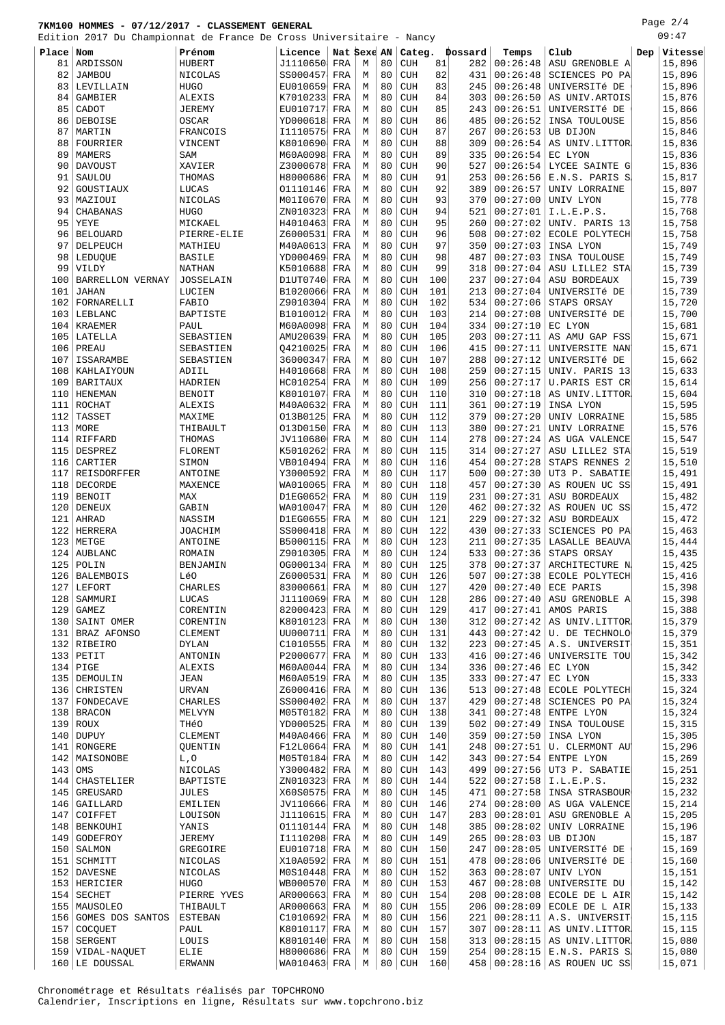Page 2/4

|           | Edition 2017 Du Championnat de France De Cross Universitaire - Nancy |                  |              |             |   |    |            |     |         |          |                                   |     | 09:47            |
|-----------|----------------------------------------------------------------------|------------------|--------------|-------------|---|----|------------|-----|---------|----------|-----------------------------------|-----|------------------|
| Place Nom |                                                                      | Prénom           | Licence      | Nat Sexe AN |   |    | $ $ Categ. |     | Dossard | Temps    | Club                              | Dep | $\forall$ itesse |
| 81        | ARDISSON                                                             | HUBERT           | J1110650     | FRA         | М | 80 | <b>CUH</b> | 81  | 282     | 00:26:48 | ASU GRENOBLE A                    |     | 15,896           |
| 82        | <b>JAMBOU</b>                                                        | NICOLAS          | SS000457     | FRA         | M | 80 | <b>CUH</b> | 82  | 431     | 00:26:48 | SCIENCES PO PA                    |     | 15,896           |
| 83        | LEVILLAIN                                                            | <b>HUGO</b>      | EU010659     | FRA         | M | 80 | <b>CUH</b> | 83  | 245     | 00:26:48 | UNIVERSITÉ DE                     |     | 15,896           |
| 84        | GAMBIER                                                              | ALEXIS           | K7010233     | FRA         | M | 80 | <b>CUH</b> | 84  | 303     | 00:26:50 | AS UNIV. ARTOIS                   |     | 15,876           |
| 85        | CADOT                                                                | <b>JEREMY</b>    | EU010717     | FRA         | M | 80 | <b>CUH</b> | 85  | 243     | 00:26:51 | UNIVERSITé DE                     |     | 15,866           |
| 86        | DEBOISE                                                              | OSCAR            | YD000618     | FRA         | M | 80 | <b>CUH</b> | 86  | 485     | 00:26:52 | INSA TOULOUSE                     |     | 15,856           |
| 87        | MARTIN                                                               | FRANCOIS         | I1110575     | FRA         | M | 80 | <b>CUH</b> | 87  | 267     | 00:26:53 | UB DIJON                          |     | 15,846           |
| 88        | FOURRIER                                                             | VINCENT          | K8010690     | FRA         | M | 80 | <b>CUH</b> | 88  | 309     | 00:26:54 | AS UNIV.LITTOR                    |     | 15,836           |
| 89        | <b>MAMERS</b>                                                        | SAM              | M60A0098     | FRA         | M | 80 | <b>CUH</b> | 89  | 335     | 00:26:54 | EC LYON                           |     | 15,836           |
| 90        | <b>DAVOUST</b>                                                       | XAVIER           | Z3000678     | FRA         | M | 80 | <b>CUH</b> | 90  | 527     | 00:26:54 | LYCEE SAINTE G                    |     | 15,836           |
| 91        | SAULOU                                                               | THOMAS           | H8000686     | FRA         | M | 80 | <b>CUH</b> | 91  | 253     | 00:26:56 | E.N.S. PARIS S                    |     | 15,817           |
| 92        | GOUSTIAUX                                                            | LUCAS            | 01110146     | FRA         | M | 80 | <b>CUH</b> | 92  | 389     | 00:26:57 | UNIV LORRAINE                     |     | 15,807           |
| 93        | MAZIOUI                                                              | NICOLAS          | M01I0670     | FRA         | M | 80 | <b>CUH</b> | 93  | 370     | 00:27:00 | UNIV LYON                         |     | 15,778           |
| 94        | CHABANAS                                                             | <b>HUGO</b>      | ZN010323     | FRA         | M | 80 | <b>CUH</b> | 94  | 521     | 00:27:01 | I.L.E.P.S.                        |     | 15,768           |
| 95        | YEYE                                                                 | MICKAEL          | H4010463     | FRA         | M | 80 | <b>CUH</b> | 95  | 260     | 00:27:02 | UNIV. PARIS 13                    |     | 15,758           |
| 96        | <b>BELOUARD</b>                                                      | PIERRE-ELIE      | Z6000531     | FRA         | M | 80 | <b>CUH</b> | 96  | 508     | 00:27:02 | ECOLE POLYTECH                    |     | 15,758           |
| 97        | DELPEUCH                                                             | MATHIEU          | M40A0613     | FRA         | M | 80 | <b>CUH</b> | 97  | 350     | 00:27:03 | INSA LYON                         |     | 15,749           |
| 98        | LEDUQUE                                                              | <b>BASILE</b>    | YD000469     | FRA         | M | 80 | <b>CUH</b> | 98  | 487     | 00:27:03 | INSA TOULOUSE                     |     | 15,749           |
| 99        | VILDY                                                                | <b>NATHAN</b>    | K5010688     | FRA         | M | 80 | <b>CUH</b> | 99  | 318     | 00:27:04 | ASU LILLE2 STA                    |     | 15,739           |
| 100       | BARRELLON VERNAY                                                     | <b>JOSSELAIN</b> | D1UT0740     | FRA         | M | 80 | <b>CUH</b> | 100 | 237     | 00:27:04 | ASU BORDEAUX                      |     | 15,739           |
| 101       | <b>JAHAN</b>                                                         | LUCIEN           | B1020066     | FRA         | M | 80 | <b>CUH</b> | 101 | 213     | 00:27:04 | UNIVERSITÉ DE                     |     | 15,739           |
| 102       | FORNARELLI                                                           | FABIO            | Z9010304     | FRA         | M | 80 | <b>CUH</b> | 102 | 534     | 00:27:06 | STAPS ORSAY                       |     | 15,720           |
| 103       | LEBLANC                                                              | BAPTISTE         | B1010012     | FRA         | M | 80 | <b>CUH</b> | 103 | 214     | 00:27:08 | UNIVERSITÉ DE                     |     | 15,700           |
| 104       | <b>KRAEMER</b>                                                       | PAUL             | M60A0098     | FRA         | M | 80 | <b>CUH</b> | 104 | 334     | 00:27:10 | EC LYON                           |     | 15,681           |
| 105       | LATELLA                                                              | SEBASTIEN        | AMU20639     | FRA         | M | 80 | <b>CUH</b> | 105 | 203     | 00:27:11 | AS AMU GAP FSS                    |     | 15,671           |
| 106       | PREAU                                                                | SEBASTIEN        | 04210025     | FRA         | M | 80 | <b>CUH</b> | 106 | 415     | 00:27:11 | UNIVERSITE NAN                    |     | 15,671           |
| 107       | ISSARAMBE                                                            | SEBASTIEN        | 36000347     | FRA         | M | 80 | <b>CUH</b> | 107 | 288     | 00:27:12 | UNIVERSITÉ DE                     |     | 15,662           |
| 108       | KAHLAIYOUN                                                           | ADIIL            | H4010668     | FRA         | M | 80 | <b>CUH</b> | 108 | 259     | 00:27:15 | UNIV. PARIS 13                    |     | 15,633           |
| 109       | BARITAUX                                                             | <b>HADRIEN</b>   | HC010254     | FRA         | M | 80 | <b>CUH</b> | 109 | 256     | 00:27:17 | U.PARIS EST CR                    |     | 15,614           |
| 110       | HENEMAN                                                              | <b>BENOIT</b>    | K8010107     | FRA         | M | 80 | <b>CUH</b> | 110 | 310     | 00:27:18 | AS UNIV.LITTOR                    |     | 15,604           |
| 111       | ROCHAT                                                               | <b>ALEXIS</b>    | M40A0632     | FRA         | M | 80 | <b>CUH</b> | 111 | 361     | 00:27:19 | INSA LYON                         |     | 15,595           |
| 112       | TASSET                                                               | MAXIME           | 013B0125     | FRA         | M | 80 | <b>CUH</b> | 112 | 379     | 00:27:20 | UNIV LORRAINE                     |     | 15,585           |
| 113       | MORE                                                                 | THIBAULT         | 013D0150     | FRA         | M | 80 | <b>CUH</b> | 113 | 380     | 00:27:21 | UNIV LORRAINE                     |     | 15,576           |
|           | $114$ RIFFARD                                                        | THOMAS           | JV110680     | FRA         | M | 80 | <b>CUH</b> | 114 | 278     | 00:27:24 | AS UGA VALENCE                    |     | 15,547           |
| 115       | DESPREZ                                                              | FLORENT          | K5010262     | FRA         | M | 80 | <b>CUH</b> | 115 | 314     | 00:27:27 | ASU LILLE2 STA                    |     | 15,519           |
| 116       | CARTIER                                                              | SIMON            | VB010494     | FRA         | M | 80 | <b>CUH</b> | 116 | 454     | 00:27:28 | STAPS RENNES 2                    |     | 15,510           |
| 117       | REISDORFFER                                                          | ANTOINE          | Y3000592     | FRA         | M | 80 | <b>CUH</b> | 117 | 500     | 00:27:30 | UT3 P. SABATIE                    |     | 15,491           |
|           | 118   DECORDE                                                        | MAXENCE          | WA010065     | FRA         | M | 80 | <b>CUH</b> | 118 | 457     | 00:27:30 | AS ROUEN UC SS                    |     | 15,491           |
| 119       | BENOIT                                                               | MAX              | D1EG0652     | FRA         | M | 80 | <b>CUH</b> | 119 | 231     | 00:27:31 | ASU BORDEAUX                      |     | 15,482           |
| 120       | DENEUX                                                               | GABIN            | WA010047     | FRA         | M | 80 | <b>CUH</b> | 120 | 462     | 00:27:32 | AS ROUEN UC SS                    |     | 15,472           |
| 121       | AHRAD                                                                | NASSIM           | D1EG0655     | FRA         | M | 80 | <b>CUH</b> | 121 | 229     | 00:27:32 | ASU BORDEAUX                      |     | 15,472           |
| 122       | HERRERA                                                              | JOACHIM          | SS000418     | FRA         | M | 80 | <b>CUH</b> | 122 | 430     | 00:27:33 | SCIENCES PO PA                    |     | 15,463           |
|           | 123 METGE                                                            | ANTOINE          | B5000115     | FRA         | M | 80 | <b>CUH</b> | 123 | 211     | 00:27:35 | LASALLE BEAUVA                    |     | 15,444           |
| 124       | AUBLANC                                                              | ROMAIN           | Z9010305     | FRA         | M | 80 | <b>CUH</b> | 124 | 533     | 00:27:36 | STAPS ORSAY                       |     | 15,435           |
|           | $125$ POLIN                                                          | BENJAMIN         | 0G000134 FRA |             | М | 80 | CUH        | 125 | 378     | 00:27:37 | ARCHITECTURE N                    |     | 15,425           |
|           | 126 BALEMBOIS                                                        | Lé0              | Z6000531     | FRA         | M | 80 | CUH        | 126 | 507     |          | $00:27:38$ ECOLE POLYTECH         |     | 15, 416          |
| 127       | LEFORT                                                               | CHARLES          | 83000661     | FRA         | М | 80 | <b>CUH</b> | 127 | 420     | 00:27:40 | ECE PARIS                         |     | 15,398           |
| 128       | SAMMURI                                                              | LUCAS            | J1110069 FRA |             | М | 80 | <b>CUH</b> | 128 | 286     | 00:27:40 | ASU GRENOBLE A                    |     | 15,398           |
| 129       | GAMEZ                                                                | CORENTIN         | 82000423     | FRA         | М | 80 | <b>CUH</b> | 129 | 417     | 00:27:41 | AMOS PARIS                        |     | 15,388           |
|           | 130 SAINT OMER                                                       | CORENTIN         | K8010123     | FRA         | М | 80 | <b>CUH</b> | 130 | 312     |          | $00:27:42$ AS UNIV. LITTOR        |     | 15,379           |
|           | 131 BRAZ AFONSO                                                      | CLEMENT          | UU000711     | FRA         | М | 80 | <b>CUH</b> | 131 | 443     | 00:27:42 | U. DE TECHNOLO                    |     | 15,379           |
|           | 132 RIBEIRO                                                          | DYLAN            | C1010555     | FRA         | М | 80 | <b>CUH</b> | 132 | 223     |          | $00:27:45$ A.S. UNIVERSIT         |     | 15,351           |
| 133       | PETIT                                                                | ANTONIN          | P2000677     | FRA         | М | 80 | <b>CUH</b> | 133 | 416     | 00:27:46 | UNIVERSITE TOU                    |     | 15,342           |
|           | $134$ PIGE                                                           | ALEXIS           | M60A0044     | FRA         | М | 80 | <b>CUH</b> | 134 | 336     | 00:27:46 | EC LYON                           |     | 15,342           |
|           | 135   DEMOULIN                                                       | JEAN             | M60A0519     | FRA         | М | 80 | <b>CUH</b> | 135 | 333     | 00:27:47 | EC LYON                           |     | 15,333           |
|           | 136 CHRISTEN                                                         | URVAN            | Z6000416     | FRA         | М | 80 | <b>CUH</b> | 136 | 513     | 00:27:48 | ECOLE POLYTECH                    |     | 15,324           |
|           | 137 FONDECAVE                                                        | CHARLES          | SS000402     | FRA         | М | 80 | <b>CUH</b> | 137 | 429     | 00:27:48 | SCIENCES PO PA                    |     | 15,324           |
| 138       | <b>BRACON</b>                                                        | MELVYN           | M05T0182     | FRA         | М | 80 | <b>CUH</b> | 138 | 341     | 00:27:48 | ENTPE LYON                        |     | 15,324           |
|           | $139$ ROUX                                                           | THếO             | YD000525     | FRA         | М | 80 | <b>CUH</b> | 139 | 502     | 00:27:49 | INSA TOULOUSE                     |     | 15,315           |
|           | $140$ DUPUY                                                          | CLEMENT          | M40A0466     | FRA         | М | 80 | <b>CUH</b> | 140 | 359     | 00:27:50 | INSA LYON                         |     | 15,305           |
|           | 141 RONGERE                                                          | QUENTIN          | F12L0664     | FRA         | М | 80 | <b>CUH</b> | 141 | 248     | 00:27:51 | U. CLERMONT AU                    |     | 15,296           |
|           | 142   MAISONOBE                                                      | L, O             | M05T0184     | FRA         | М | 80 | <b>CUH</b> | 142 | 343     | 00:27:54 | ENTPE LYON                        |     | 15,269           |
| 143       | OMS                                                                  | NICOLAS          | Y3000482     | FRA         | М | 80 | <b>CUH</b> | 143 | 499     | 00:27:56 | UT3 P. SABATIE                    |     | 15,251           |
| 144       | CHASTELIER                                                           | BAPTISTE         | ZN010323     | FRA         | М | 80 | <b>CUH</b> | 144 | 522     | 00:27:58 | I.L.E.P.S.                        |     | 15,232           |
| 145       | GREUSARD                                                             | JULES            | X60S0575     | FRA         | М | 80 | <b>CUH</b> | 145 | 471     | 00:27:58 | INSA STRASBOUR                    |     | 15,232           |
|           | 146 GAILLARD                                                         | EMILIEN          | JV110666     | FRA         | М | 80 | <b>CUH</b> | 146 | 274     | 00:28:00 | AS UGA VALENCE                    |     | 15,214           |
| 147       | COIFFET                                                              | LOUISON          | J1110615     | FRA         | М | 80 | <b>CUH</b> | 147 | 283     | 00:28:01 | ASU GRENOBLE A                    |     | 15,205           |
|           | 148   BENKOUHI                                                       | YANIS            | 01110144     | FRA         | М | 80 | <b>CUH</b> | 148 | 385     | 00:28:02 | UNIV LORRAINE                     |     | 15,196           |
| 149       | GODEFROY                                                             | <b>JEREMY</b>    | I1110208     | FRA         | M | 80 | <b>CUH</b> | 149 | 265     | 00:28:03 | UB DIJON                          |     | 15,187           |
|           | 150   SALMON                                                         | GREGOIRE         | EU010718     | FRA         | М | 80 | <b>CUH</b> | 150 | 247     | 00:28:05 | UNIVERSITÉ DE                     |     | 15,169           |
| 151       | SCHMITT                                                              | NICOLAS          | X10A0592     | FRA         | M | 80 | <b>CUH</b> | 151 | 478     | 00:28:06 | UNIVERSITÉ DE                     |     | 15,160           |
|           | 152 DAVESNE                                                          | NICOLAS          | M0S10448     | FRA         | М | 80 | <b>CUH</b> | 152 | 363     | 00:28:07 | UNIV LYON                         |     | 15,151           |
|           | 153 HERICIER                                                         | HUGO             | WB000570     | FRA         | М | 80 | <b>CUH</b> | 153 | 467     | 00:28:08 | UNIVERSITE DU                     |     | 15,142           |
|           | $154$ SECHET                                                         | PIERRE YVES      | AR000663     | FRA         | М | 80 | <b>CUH</b> | 154 | 208     | 00:28:08 | ECOLE DE L AIR                    |     | 15,142           |
|           | 155   MAUSOLEO                                                       | THIBAULT         | AR000663 FRA |             | М | 80 | <b>CUH</b> | 155 | 206     | 00:28:09 | ECOLE DE L AIR                    |     | 15,133           |
|           | 156 GOMES DOS SANTOS                                                 | <b>ESTEBAN</b>   | C1010692     | FRA         | М | 80 | <b>CUH</b> | 156 | 221     | 00:28:11 | A.S. UNIVERSIT                    |     | 15,115           |
|           | $157 $ COCQUET                                                       | PAUL             | K8010117     | FRA         | М | 80 | <b>CUH</b> | 157 | 307     | 00:28:11 | AS UNIV.LITTOR                    |     | 15,115           |
| 158       | SERGENT                                                              | LOUIS            | K8010140     | FRA         | M | 80 | <b>CUH</b> | 158 | 313     | 00:28:15 | AS UNIV.LITTOR                    |     | 15,080           |
|           | 159   VIDAL-NAQUET                                                   | ELIE             | H8000686 FRA |             | М | 80 | <b>CUH</b> | 159 | 254     |          | $00:28:15$ E.N.S. PARIS S         |     | 15,080           |
|           | 160 LE DOUSSAL                                                       | ERWANN           | WA010463 FRA |             | М | 80 | <b>CUH</b> | 160 |         |          | $458   00:28:16   AS$ ROUEN UC SS |     | 15,071           |

Chronométrage et Résultats réalisés par TOPCHRONO Calendrier, Inscriptions en ligne, Résultats sur www.topchrono.biz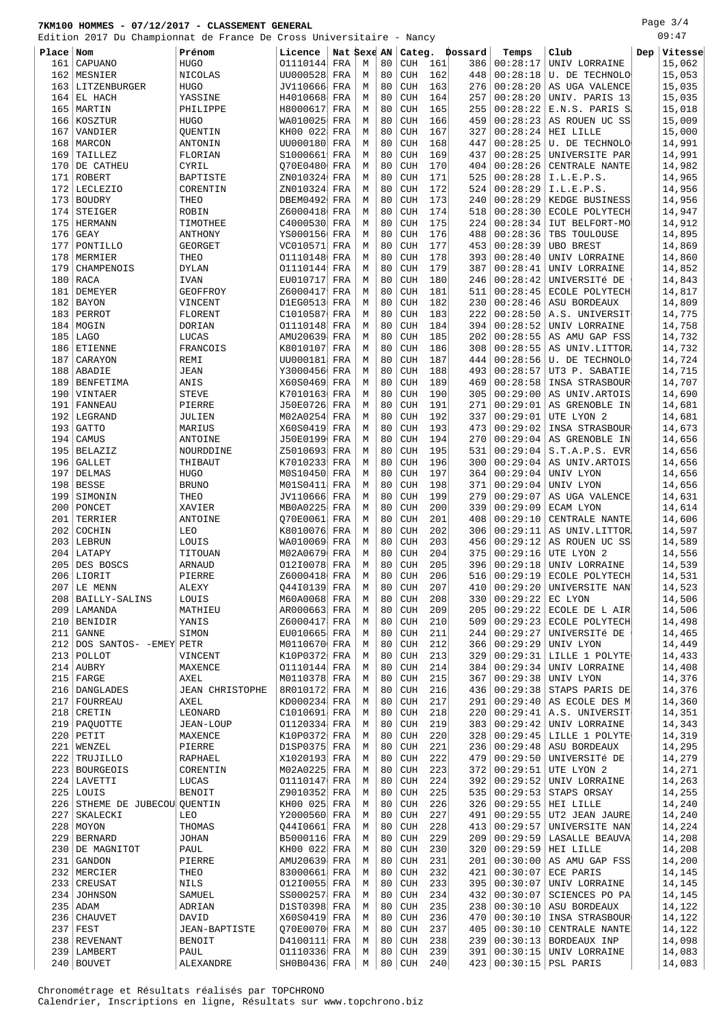Page 3/4

|           | Edition 2017 Du Championnat de France De Cross Universitaire - Nancy |                        |              |             |   |    |            |     |                |                |                                       |     | 09:47   |
|-----------|----------------------------------------------------------------------|------------------------|--------------|-------------|---|----|------------|-----|----------------|----------------|---------------------------------------|-----|---------|
| Place Nom |                                                                      | Prénom                 | Licence      | Nat Sexe AN |   |    |            |     | Categ. Dossard | Temps          | Club                                  | Dep | Vitesse |
| 161       | CAPUANO                                                              | <b>HUGO</b>            | 01110144     | FRA         | М | 80 | <b>CUH</b> | 161 | 386            | 00:28:17       | UNIV LORRAINE                         |     | 15,062  |
| 162       | MESNIER                                                              | NICOLAS                | UU000528     | FRA         | М | 80 | <b>CUH</b> | 162 | 448            | 00:28:18       | U. DE TECHNOLO                        |     | 15,053  |
| 163       | LITZENBURGER                                                         | <b>HUGO</b>            | JV110666     | FRA         | M | 80 | <b>CUH</b> | 163 | 276            | 00:28:20       | AS UGA VALENCE                        |     | 15,035  |
| 164       | EL HACH                                                              | YASSINE                | H4010668     | FRA         | М | 80 | <b>CUH</b> | 164 | 257            | 00:28:20       | UNIV. PARIS 13                        |     | 15,035  |
| 165       | MARTIN                                                               | PHILIPPE               | H8000617     | FRA         | М | 80 | <b>CUH</b> | 165 | 255            | 00:28:22       | E.N.S. PARIS S                        |     | 15,018  |
| 166       | KOSZTUR                                                              | HUGO                   | WA010025     | FRA         | М | 80 | <b>CUH</b> | 166 | 459            | 00:28:23       | AS ROUEN UC SS                        |     | 15,009  |
| 167       | VANDIER                                                              | QUENTIN                | KH00 022     | FRA         | M | 80 | <b>CUH</b> | 167 | 327            | 00:28:24       | HEI LILLE                             |     | 15,000  |
| 168       | MARCON                                                               | ANTONIN                | UU000180     | FRA         | М | 80 | <b>CUH</b> | 168 | 447            | 00:28:25       | U. DE TECHNOLO                        |     | 14,991  |
| 169       | TAILLEZ                                                              | FLORIAN                | S1000661     | FRA         | М | 80 | <b>CUH</b> | 169 | 437            | 00:28:25       | UNIVERSITE PAR                        |     | 14,991  |
| 170       | DE CATHEU                                                            | CYRIL                  | Q70E0480     | FRA         | М | 80 | <b>CUH</b> | 170 | 404            | 00:28:26       | CENTRALE NANTE                        |     | 14,982  |
| 171       | <b>ROBERT</b>                                                        | BAPTISTE               | ZN010324     | FRA         | M | 80 | <b>CUH</b> | 171 | 525            | 00:28:28       | I.L.E.P.S.                            |     | 14,965  |
| 172       | LECLEZIO                                                             | CORENTIN               | ZN010324     | FRA         | М | 80 | <b>CUH</b> | 172 | 524            | 00:28:29       | I.L.E.P.S.                            |     | 14,956  |
| 173       | <b>BOUDRY</b>                                                        | THEO                   | DBEM0492     | FRA         | М | 80 | <b>CUH</b> | 173 | 240            | 00:28:29       | KEDGE BUSINESS                        |     | 14,956  |
| 174       | STEIGER                                                              | ROBIN                  | Z6000418     | FRA         | M | 80 | <b>CUH</b> | 174 | 518            | 00:28:30       | ECOLE POLYTECH                        |     | 14,947  |
| 175       | HERMANN                                                              | TIMOTHEE               | C4000530     | FRA         | М | 80 | <b>CUH</b> | 175 | 224            | 00:28:34       | IUT BELFORT-MO                        |     | 14,912  |
| 176       | <b>GEAY</b>                                                          | ANTHONY                | YS000156     | FRA         | М | 80 | <b>CUH</b> | 176 | 488            | 00:28:36       | TBS TOULOUSE                          |     | 14,895  |
| 177       | PONTILLO                                                             | GEORGET                | VC010571     | FRA         | М | 80 | <b>CUH</b> | 177 | 453            | 00:28:39       | <b>UBO BREST</b>                      |     | 14,869  |
| 178       | MERMIER                                                              | THEO                   | 01110148     | FRA         | М | 80 | <b>CUH</b> | 178 | 393            | 00:28:40       | UNIV LORRAINE                         |     | 14,860  |
| 179       | CHAMPENOIS                                                           | <b>DYLAN</b>           | 01110144     | FRA         | М | 80 | <b>CUH</b> | 179 | 387            | 00:28:41       | UNIV LORRAINE                         |     | 14,852  |
| 180       | RACA                                                                 |                        | EU010717     |             | M | 80 | <b>CUH</b> | 180 | 246            | 00:28:42       | UNIVERSITÉ DE                         |     | 14,843  |
|           |                                                                      | IVAN                   |              | FRA         | M | 80 |            | 181 |                | 00:28:45       |                                       |     |         |
| 181       | DEMEYER                                                              | GEOFFROY               | Z6000417     | FRA         |   |    | <b>CUH</b> |     | 511            |                | ECOLE POLYTECH<br><b>ASU BORDEAUX</b> |     | 14,817  |
| 182       | <b>BAYON</b>                                                         | VINCENT                | D1EG0513     | FRA         | М | 80 | <b>CUH</b> | 182 | 230            | 00:28:46       |                                       |     | 14,809  |
| 183       | PERROT                                                               | FLORENT                | C1010587     | FRA         | M | 80 | <b>CUH</b> | 183 | 222            | 00:28:50       | A.S. UNIVERSIT                        |     | 14,775  |
| 184       | MOGIN                                                                | DORIAN                 | 01110148     | FRA         | М | 80 | <b>CUH</b> | 184 | 394            | 00:28:52       | UNIV LORRAINE                         |     | 14,758  |
| 185       | <b>LAGO</b>                                                          | LUCAS                  | AMU20639     | FRA         | М | 80 | <b>CUH</b> | 185 | 202            | 00:28:55       | AS AMU GAP FSS                        |     | 14,732  |
| 186       | ETIENNE                                                              | FRANCOIS               | K8010107     | FRA         | М | 80 | <b>CUH</b> | 186 | 308            | 00:28:55       | AS UNIV.LITTOR                        |     | 14,732  |
| 187       | CARAYON                                                              | REMI                   | UU000181     | FRA         | M | 80 | <b>CUH</b> | 187 | 444            | 00:28:56       | U. DE TECHNOLO                        |     | 14,724  |
| 188       | ABADIE                                                               | <b>JEAN</b>            | Y3000456     | FRA         | M | 80 | <b>CUH</b> | 188 | 493            | 00:28:57       | UT3 P. SABATIE                        |     | 14,715  |
| 189       | BENFETIMA                                                            | ANIS                   | X60S0469     | FRA         | M | 80 | <b>CUH</b> | 189 | 469            | 00:28:58       | INSA STRASBOUR                        |     | 14,707  |
| 190       | VINTAER                                                              | <b>STEVE</b>           | K7010163     | FRA         | M | 80 | <b>CUH</b> | 190 | 305            | 00:29:00       | AS UNIV. ARTOIS                       |     | 14,690  |
| 191       | FANNEAU                                                              | PIERRE                 | J50E0726     | FRA         | М | 80 | <b>CUH</b> | 191 | 271            | 00:29:01       | AS GRENOBLE IN                        |     | 14,681  |
| 192       | LEGRAND                                                              | JULIEN                 | M02A0254     | FRA         | M | 80 | <b>CUH</b> | 192 | 337            | 00:29:01       | UTE LYON 2                            |     | 14,681  |
| 193       | <b>GATTO</b>                                                         | MARIUS                 | X60S0419     | FRA         | М | 80 | <b>CUH</b> | 193 | 473            | 00:29:02       | INSA STRASBOUR                        |     | 14,673  |
| 194       | CAMUS                                                                | ANTOINE                | J50E0199     | FRA         | М | 80 | <b>CUH</b> | 194 | 270            | 00:29:04       | AS GRENOBLE IN                        |     | 14,656  |
| 195       | <b>BELAZIZ</b>                                                       | NOURDDINE              | Z5010693     | FRA         | M | 80 | <b>CUH</b> | 195 | 531            | 00:29:04       | S.T.A.P.S. EVR                        |     | 14,656  |
| 196       | <b>GALLET</b>                                                        | THIBAUT                | K7010233     | FRA         | M | 80 | <b>CUH</b> | 196 | 300            | 00:29:04       | AS UNIV. ARTOIS                       |     | 14,656  |
| 197       | DELMAS                                                               | HUGO                   | M0S10450     | FRA         | М | 80 | <b>CUH</b> | 197 | 364            | 00:29:04       | UNIV LYON                             |     | 14,656  |
| 198       | <b>BESSE</b>                                                         | <b>BRUNO</b>           | M01S0411     | FRA         | М | 80 | <b>CUH</b> | 198 | 371            | 00:29:04       | UNIV LYON                             |     | 14,656  |
| 199       | SIMONIN                                                              | THEO                   | JV110666     | FRA         | M | 80 | <b>CUH</b> | 199 | 279            | 00:29:07       | AS UGA VALENCE                        |     | 14,631  |
| 200       | PONCET                                                               | XAVIER                 | MB0A0225     | FRA         | М | 80 | <b>CUH</b> | 200 | 339            | 00:29:09       | ECAM LYON                             |     | 14,614  |
| 201       | TERRIER                                                              | ANTOINE                | Q70E0061     | FRA         | М | 80 | <b>CUH</b> | 201 | 408            | 00:29:10       | CENTRALE NANTE                        |     | 14,606  |
| 202       | COCHIN                                                               | LEO                    | K8010076     | FRA         | М | 80 | <b>CUH</b> | 202 | 306            | 00:29:11       | AS UNIV.LITTOR                        |     | 14,597  |
| 203       | LEBRUN                                                               | LOUIS                  | WA010069     | FRA         | М | 80 | <b>CUH</b> | 203 | 456            | 00:29:12       | AS ROUEN UC SS                        |     | 14,589  |
| 204       | LATAPY                                                               | TITOUAN                | M02A0679     | FRA         | М | 80 | <b>CUH</b> | 204 | 375            | 00:29:16       | UTE LYON 2                            |     | 14,556  |
|           | 205 DES BOSCS                                                        | ARNAUD                 | 01210078 FRA |             | M | 80 | <b>CUH</b> | 205 | 396            | 00:29:18       | UNIV LORRAINE                         |     | 14,539  |
|           | 206 LIORIT                                                           | PIERRE                 | Z6000418     | FRA         | M | 80 | <b>CUH</b> | 206 |                | 516   00:29:19 | ECOLE POLYTECH                        |     | 14,531  |
| 207       | LE MENN                                                              | ALEXY                  | Q44I0139 FRA |             | М | 80 | <b>CUH</b> | 207 | 410            | 00:29:20       | UNIVERSITE NAN                        |     | 14,523  |
| 208       | BAILLY-SALINS                                                        | LOUIS                  | M60A0068 FRA |             | М | 80 | <b>CUH</b> | 208 | 330            | 00:29:22       | EC LYON                               |     | 14,506  |
| 209       | LAMANDA                                                              | MATHIEU                | AR000663     | FRA         | М | 80 | <b>CUH</b> | 209 | 205            | 00:29:22       | ECOLE DE L AIR                        |     | 14,506  |
|           | 210 BENIDIR                                                          | YANIS                  | Z6000417     | FRA         | М | 80 | <b>CUH</b> | 210 | 509            | 00:29:23       | <b>ECOLE POLYTECH</b>                 |     | 14,498  |
| 211       | <b>GANNE</b>                                                         | SIMON                  | EU010665     | FRA         | М | 80 | <b>CUH</b> | 211 | 244            | 00:29:27       | UNIVERSITÉ DE                         |     | 14,465  |
|           | 212 DOS SANTOS- - EMEY PETR                                          |                        | M0110670     | FRA         | М | 80 | <b>CUH</b> | 212 | 366            | 00:29:29       | UNIV LYON                             |     | 14,449  |
| 213       | POLLOT                                                               | VINCENT                | K10P0372     | FRA         | M | 80 | <b>CUH</b> | 213 | 329            | 00:29:31       | LILLE 1 POLYTE                        |     | 14,433  |
|           | $214$ AUBRY                                                          |                        | 01110144     | FRA         | М | 80 | <b>CUH</b> | 214 | 384            | 00:29:34       | UNIV LORRAINE                         |     | 14,408  |
| 215       | FARGE                                                                | MAXENCE<br>AXEL        | M0110378     | FRA         | М | 80 | <b>CUH</b> | 215 | 367            | 00:29:38       | UNIV LYON                             |     | 14,376  |
| 216       | DANGLADES                                                            | <b>JEAN CHRISTOPHE</b> | 8R010172     | FRA         | М | 80 | <b>CUH</b> | 216 | 436            | 00:29:38       | STAPS PARIS DE                        |     | 14,376  |
| 217       | FOURREAU                                                             | AXEL                   | KD000234     | FRA         | М | 80 | <b>CUH</b> | 217 | 291            | 00:29:40       | AS ECOLE DES M                        |     | 14,360  |
|           |                                                                      | LEONARD                |              |             |   | 80 |            |     | 220            | 00:29:41       |                                       |     | 14,351  |
| 218       | CRETIN                                                               |                        | C1010691     | FRA         | М |    | <b>CUH</b> | 218 |                |                | A.S. UNIVERSIT                        |     |         |
|           | 219   PAQUOTTE                                                       | JEAN-LOUP              | 01120334     | FRA         | М | 80 | <b>CUH</b> | 219 | 383            | 00:29:42       | UNIV LORRAINE                         |     | 14,343  |
| 220       | PETIT                                                                | MAXENCE                | K10P0372     | FRA         | М | 80 | <b>CUH</b> | 220 | 328            | 00:29:45       | LILLE 1 POLYTE                        |     | 14,319  |
| 221       | WENZEL                                                               | PIERRE                 | D1SP0375     | FRA         | М | 80 | <b>CUH</b> | 221 | 236            | 00:29:48       | ASU BORDEAUX                          |     | 14,295  |
| 222       | TRUJILLO                                                             | RAPHAEL                | X1020193     | FRA         | M | 80 | <b>CUH</b> | 222 | 479            | 00:29:50       | UNIVERSITÉ DE                         |     | 14,279  |
|           | 223   BOURGEOIS                                                      | CORENTIN               | M02A0225     | FRA         | М | 80 | <b>CUH</b> | 223 | 372            | 00:29:51       | UTE LYON 2                            |     | 14,271  |
|           | 224 LAVETTI                                                          | LUCAS                  | 01110147     | FRA         | М | 80 | <b>CUH</b> | 224 | 392            | 00:29:52       | UNIV LORRAINE                         |     | 14,263  |
|           | $225$ LOUIS                                                          | <b>BENOIT</b>          | Z9010352     | FRA         | М | 80 | <b>CUH</b> | 225 | 535            | 00:29:53       | STAPS ORSAY                           |     | 14,255  |
|           | 226 STHEME DE JUBECOU QUENTIN                                        |                        | KH00 025     | FRA         | М | 80 | <b>CUH</b> | 226 | 326            | 00:29:55       | HEI LILLE                             |     | 14,240  |
| 227       | SKALECKI                                                             | LEO                    | Y2000560     | FRA         | М | 80 | <b>CUH</b> | 227 | 491            | 00:29:55       | UT2 JEAN JAURE                        |     | 14,240  |
|           | 228 MOYON                                                            | THOMAS                 | Q44I0661     | FRA         | М | 80 | <b>CUH</b> | 228 | 413            | 00:29:57       | UNIVERSITE NAN                        |     | 14,224  |
| 229       | <b>BERNARD</b>                                                       | <b>JOHAN</b>           | B5000116     | FRA         | М | 80 | <b>CUH</b> | 229 | 209            | 00:29:59       | LASALLE BEAUVA                        |     | 14,208  |
| 230       | DE MAGNITOT                                                          | PAUL                   | KH00 022     | FRA         | М | 80 | <b>CUH</b> | 230 | 320            | 00:29:59       | HEI LILLE                             |     | 14,208  |
| 231       | GANDON                                                               | PIERRE                 | AMU20639     | FRA         | М | 80 | <b>CUH</b> | 231 | 201            | 00:30:00       | AS AMU GAP FSS                        |     | 14,200  |
| 232       | MERCIER                                                              | THEO                   | 83000661     | FRA         | М | 80 | <b>CUH</b> | 232 | 421            | 00:30:07       | ECE PARIS                             |     | 14,145  |
|           | 233 CREUSAT                                                          | <b>NILS</b>            | 012I0055     | FRA         | М | 80 | <b>CUH</b> | 233 | 395            | 00:30:07       | UNIV LORRAINE                         |     | 14,145  |
|           | 234 JOHNSON                                                          | SAMUEL                 | SS000257     | FRA         | М | 80 | <b>CUH</b> | 234 | 432            | 00:30:07       | SCIENCES PO PA                        |     | 14,145  |
|           | 235 ADAM                                                             | ADRIAN                 | D1ST0398     | FRA         | М | 80 | <b>CUH</b> | 235 | 238            | 00:30:10       | ASU BORDEAUX                          |     | 14,122  |
| 236       | CHAUVET                                                              | DAVID                  | X60S0419     | FRA         | М | 80 | <b>CUH</b> | 236 | 470            | 00:30:10       | INSA STRASBOUR                        |     | 14,122  |
| 237       | FEST                                                                 | JEAN-BAPTISTE          | Q70E0070 FRA |             | М | 80 | <b>CUH</b> | 237 | 405            | 00:30:10       | CENTRALE NANTE                        |     | 14,122  |
| 238       | REVENANT                                                             | <b>BENOIT</b>          | D4100111     | FRA         | M | 80 | <b>CUH</b> | 238 | 239            | 00:30:13       | BORDEAUX INP                          |     | 14,098  |
| 239       | LAMBERT                                                              | PAUL                   | 01110336 FRA |             | M | 80 | <b>CUH</b> | 239 | 391            | 00:30:15       | UNIV LORRAINE                         |     | 14,083  |
|           | 240   BOUVET                                                         | ALEXANDRE              | SH0B0436 FRA |             | M | 80 | <b>CUH</b> | 240 | 423            |                | $00:30:15$ PSL PARIS                  |     | 14,083  |

Chronométrage et Résultats réalisés par TOPCHRONO Calendrier, Inscriptions en ligne, Résultats sur www.topchrono.biz